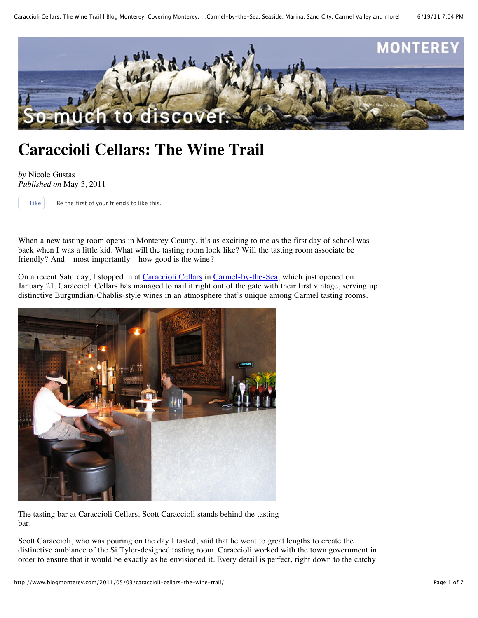

## **Caraccioli Cellars: The Wine Trail**

*by* Nicole Gustas *Published on* May 3, 2011

Like Be the first of your friends to like this.

When a new tasting room opens in Monterey County, it's as exciting to me as the first day of school was back when I was a little kid. What will the tasting room look like? Will the tasting room associate be friendly? And – most importantly – how good is the wine?

On a recent Saturday, I stopped in at [Caraccioli Cellars](http://www.caracciolicellars.com/) in [Carmel-by-the-Sea](http://www.seemonterey.com/carmel-by-the-sea-california), which just opened on January 21. Caraccioli Cellars has managed to nail it right out of the gate with their first vintage, serving up distinctive Burgundian-Chablis-style wines in an atmosphere that's unique among Carmel tasting rooms.



The tasting bar at Caraccioli Cellars. Scott Caraccioli stands behind the tasting bar.

Scott Caraccioli, who was pouring on the day I tasted, said that he went to great lengths to create the distinctive ambiance of the Si Tyler-designed tasting room. Caraccioli worked with the town government in order to ensure that it would be exactly as he envisioned it. Every detail is perfect, right down to the catchy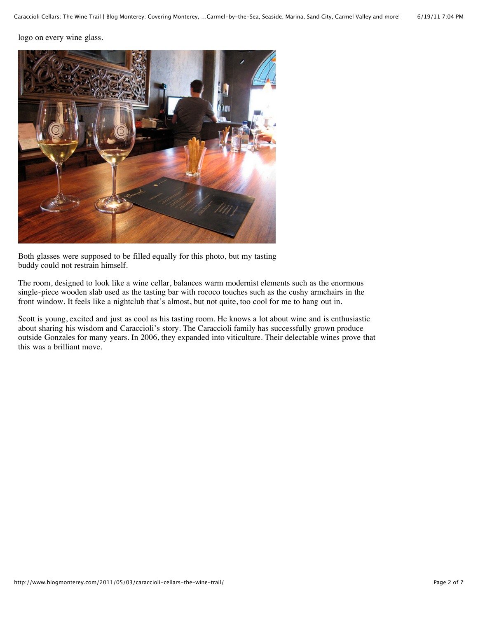logo on every wine glass.



Both glasses were supposed to be filled equally for this photo, but my tasting buddy could not restrain himself.

The room, designed to look like a wine cellar, balances warm modernist elements such as the enormous single-piece wooden slab used as the tasting bar with rococo touches such as the cushy armchairs in the front window. It feels like a nightclub that's almost, but not quite, too cool for me to hang out in.

Scott is young, excited and just as cool as his tasting room. He knows a lot about wine and is enthusiastic about sharing his wisdom and Caraccioli's story. The Caraccioli family has successfully grown produce outside Gonzales for many years. In 2006, they expanded into viticulture. Their delectable wines prove that this was a brilliant move.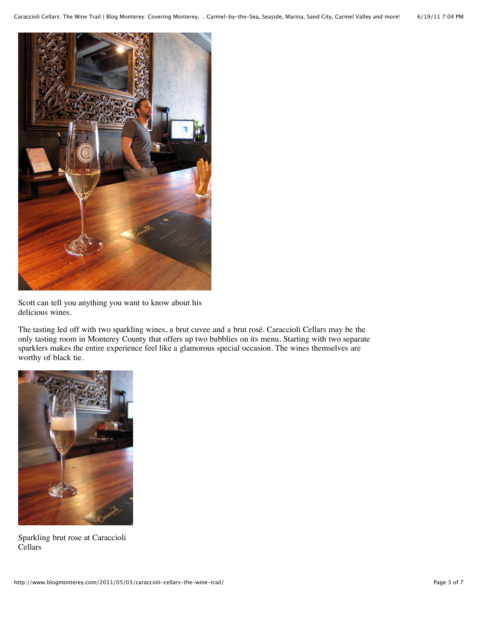

Scott can tell you anything you want to know about his delicious wines.

The tasting led off with two sparkling wines, a brut cuvee and a brut rosé. Caraccioli Cellars may be the only tasting room in Monterey County that offers up two bubblies on its menu. Starting with two separate sparklers makes the entire experience feel like a glamorous special occasion. The wines themselves are worthy of black tie.



Sparkling brut rose at Caraccioli Cellars